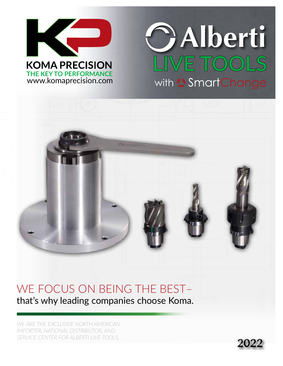

# LIVE TOOLS **Alberti** with <sup>2</sup> Smart Change

# 80 89 248 222

#### WE FOCUS ON BEING THE BEST– that's why leading companies choose Koma.

*WE ARE THE EXCLUSIVE NORTH AMERICAN IMPORTER, NATIONAL DISTRIBUTOR, AND SERVICE CENTER FOR ALBERTI LIVE TOOLS.*